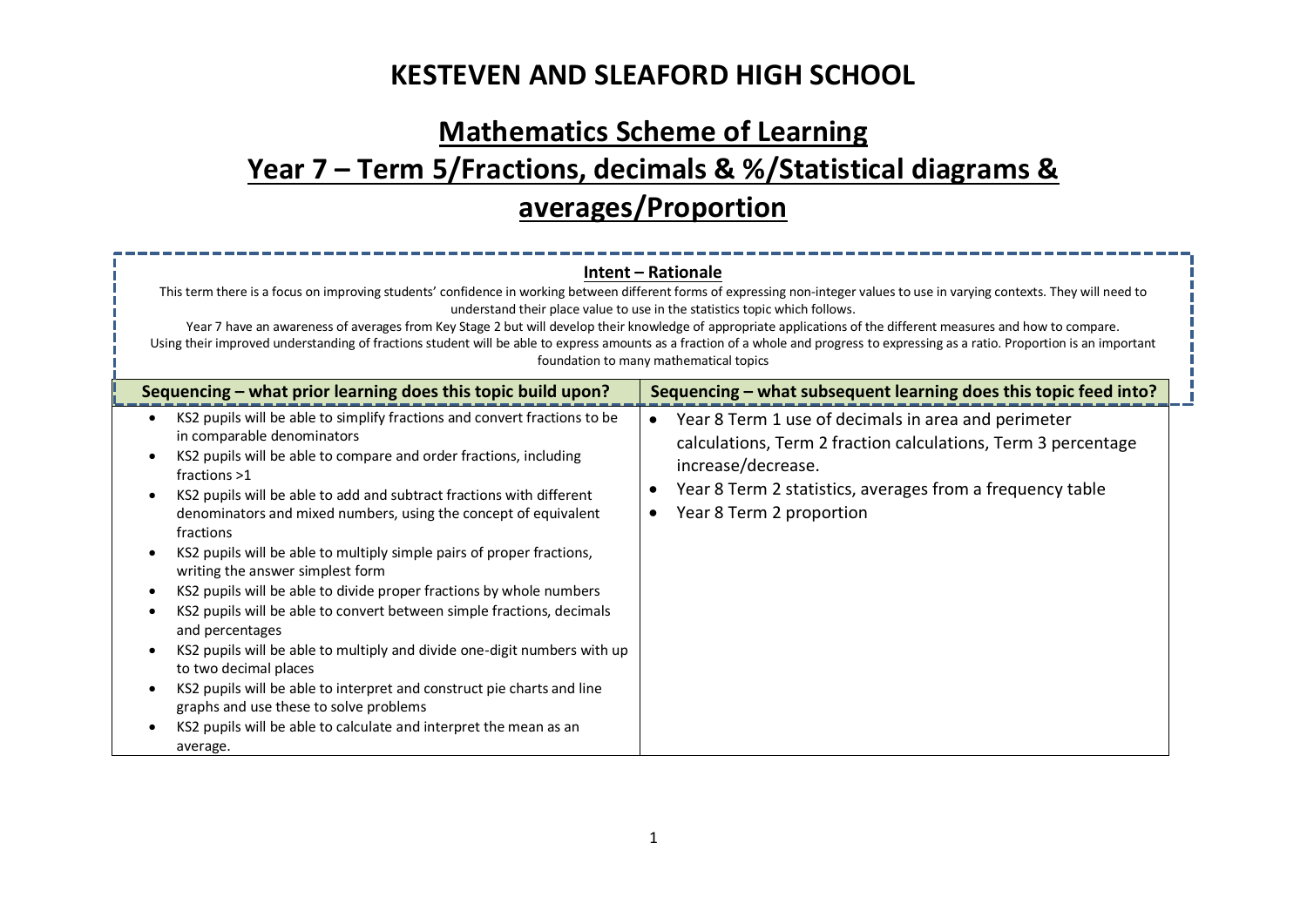# **Mathematics Scheme of Learning Year 7 – Term 5/Fractions, decimals & %/Statistical diagrams & averages/Proportion**

| Intent - Rationale<br>This term there is a focus on improving students' confidence in working between different forms of expressing non-integer values to use in varying contexts. They will need to<br>understand their place value to use in the statistics topic which follows.<br>Year 7 have an awareness of averages from Key Stage 2 but will develop their knowledge of appropriate applications of the different measures and how to compare.<br>Using their improved understanding of fractions student will be able to express amounts as a fraction of a whole and progress to expressing as a ratio. Proportion is an important<br>foundation to many mathematical topics                                                                                                                                                                                                                                                                                                                         |                                                                                                                                                                                                                                                                                                                      |  |  |
|----------------------------------------------------------------------------------------------------------------------------------------------------------------------------------------------------------------------------------------------------------------------------------------------------------------------------------------------------------------------------------------------------------------------------------------------------------------------------------------------------------------------------------------------------------------------------------------------------------------------------------------------------------------------------------------------------------------------------------------------------------------------------------------------------------------------------------------------------------------------------------------------------------------------------------------------------------------------------------------------------------------|----------------------------------------------------------------------------------------------------------------------------------------------------------------------------------------------------------------------------------------------------------------------------------------------------------------------|--|--|
| Sequencing - what prior learning does this topic build upon?<br>KS2 pupils will be able to simplify fractions and convert fractions to be<br>in comparable denominators<br>KS2 pupils will be able to compare and order fractions, including<br>fractions >1<br>KS2 pupils will be able to add and subtract fractions with different<br>denominators and mixed numbers, using the concept of equivalent<br>fractions<br>KS2 pupils will be able to multiply simple pairs of proper fractions,<br>writing the answer simplest form<br>KS2 pupils will be able to divide proper fractions by whole numbers<br>KS2 pupils will be able to convert between simple fractions, decimals<br>and percentages<br>KS2 pupils will be able to multiply and divide one-digit numbers with up<br>to two decimal places<br>KS2 pupils will be able to interpret and construct pie charts and line<br>graphs and use these to solve problems<br>KS2 pupils will be able to calculate and interpret the mean as an<br>average. | Sequencing - what subsequent learning does this topic feed into?<br>Year 8 Term 1 use of decimals in area and perimeter<br>$\bullet$<br>calculations, Term 2 fraction calculations, Term 3 percentage<br>increase/decrease.<br>Year 8 Term 2 statistics, averages from a frequency table<br>Year 8 Term 2 proportion |  |  |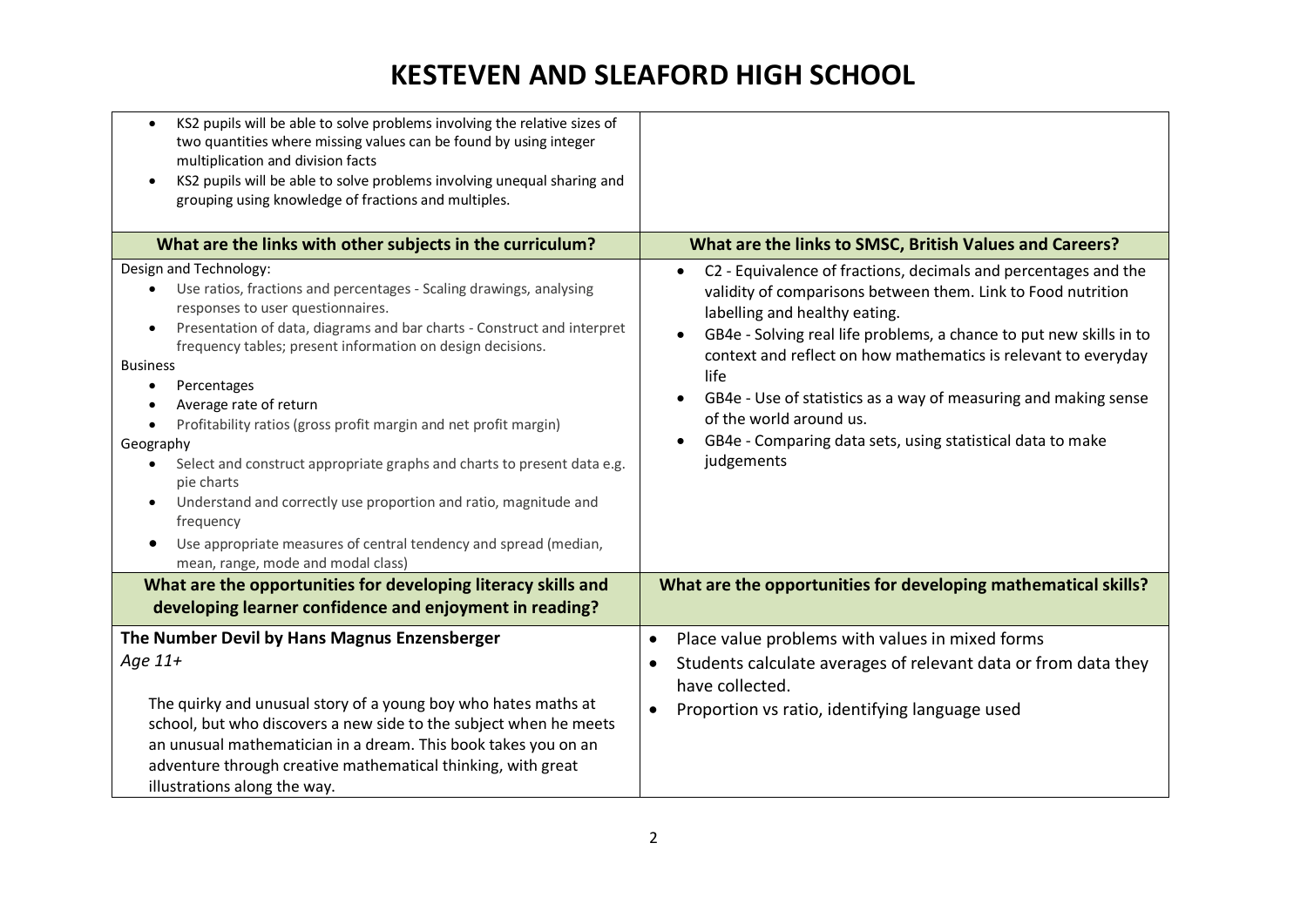| KS2 pupils will be able to solve problems involving the relative sizes of<br>$\bullet$<br>two quantities where missing values can be found by using integer<br>multiplication and division facts<br>KS2 pupils will be able to solve problems involving unequal sharing and<br>grouping using knowledge of fractions and multiples.                                                                                                                                                                                                                                                                                                                                                                                                    |                                                                                                                                                                                                                                                                                                                                                                                                                                                                                                          |
|----------------------------------------------------------------------------------------------------------------------------------------------------------------------------------------------------------------------------------------------------------------------------------------------------------------------------------------------------------------------------------------------------------------------------------------------------------------------------------------------------------------------------------------------------------------------------------------------------------------------------------------------------------------------------------------------------------------------------------------|----------------------------------------------------------------------------------------------------------------------------------------------------------------------------------------------------------------------------------------------------------------------------------------------------------------------------------------------------------------------------------------------------------------------------------------------------------------------------------------------------------|
| What are the links with other subjects in the curriculum?                                                                                                                                                                                                                                                                                                                                                                                                                                                                                                                                                                                                                                                                              | What are the links to SMSC, British Values and Careers?                                                                                                                                                                                                                                                                                                                                                                                                                                                  |
| Design and Technology:<br>Use ratios, fractions and percentages - Scaling drawings, analysing<br>responses to user questionnaires.<br>Presentation of data, diagrams and bar charts - Construct and interpret<br>$\bullet$<br>frequency tables; present information on design decisions.<br><b>Business</b><br>Percentages<br>Average rate of return<br>Profitability ratios (gross profit margin and net profit margin)<br>Geography<br>Select and construct appropriate graphs and charts to present data e.g.<br>pie charts<br>Understand and correctly use proportion and ratio, magnitude and<br>$\bullet$<br>frequency<br>Use appropriate measures of central tendency and spread (median,<br>mean, range, mode and modal class) | C2 - Equivalence of fractions, decimals and percentages and the<br>$\bullet$<br>validity of comparisons between them. Link to Food nutrition<br>labelling and healthy eating.<br>GB4e - Solving real life problems, a chance to put new skills in to<br>context and reflect on how mathematics is relevant to everyday<br>life<br>GB4e - Use of statistics as a way of measuring and making sense<br>of the world around us.<br>GB4e - Comparing data sets, using statistical data to make<br>judgements |
| What are the opportunities for developing literacy skills and<br>developing learner confidence and enjoyment in reading?                                                                                                                                                                                                                                                                                                                                                                                                                                                                                                                                                                                                               | What are the opportunities for developing mathematical skills?                                                                                                                                                                                                                                                                                                                                                                                                                                           |
| The Number Devil by Hans Magnus Enzensberger<br>Age $11+$<br>The quirky and unusual story of a young boy who hates maths at<br>school, but who discovers a new side to the subject when he meets<br>an unusual mathematician in a dream. This book takes you on an<br>adventure through creative mathematical thinking, with great<br>illustrations along the way.                                                                                                                                                                                                                                                                                                                                                                     | Place value problems with values in mixed forms<br>$\bullet$<br>Students calculate averages of relevant data or from data they<br>have collected.<br>Proportion vs ratio, identifying language used<br>$\bullet$                                                                                                                                                                                                                                                                                         |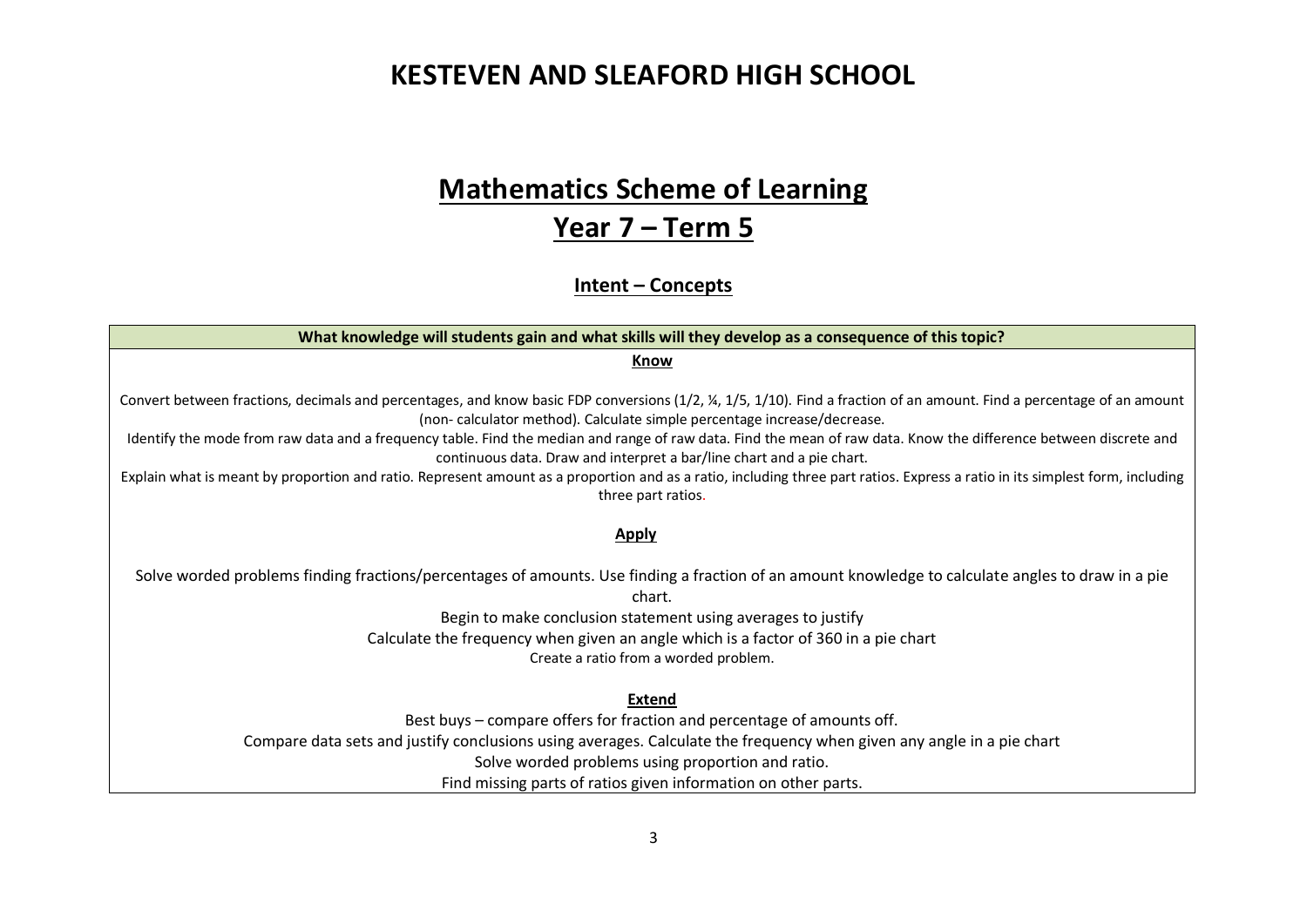### **Mathematics Scheme of Learning**

### **Year 7 – Term 5**

**Intent – Concepts**

#### **What knowledge will students gain and what skills will they develop as a consequence of this topic?**

#### **Know**

Convert between fractions, decimals and percentages, and know basic FDP conversions (1/2, ¼, 1/5, 1/10). Find a fraction of an amount. Find a percentage of an amount (non- calculator method). Calculate simple percentage increase/decrease.

Identify the mode from raw data and a frequency table. Find the median and range of raw data. Find the mean of raw data. Know the difference between discrete and continuous data. Draw and interpret a bar/line chart and a pie chart.

Explain what is meant by proportion and ratio. Represent amount as a proportion and as a ratio, including three part ratios. Express a ratio in its simplest form, including three part ratios.

#### **Apply**

Solve worded problems finding fractions/percentages of amounts. Use finding a fraction of an amount knowledge to calculate angles to draw in a pie chart.

> Begin to make conclusion statement using averages to justify Calculate the frequency when given an angle which is a factor of 360 in a pie chart Create a ratio from a worded problem.

#### **Extend**

Best buys – compare offers for fraction and percentage of amounts off. Compare data sets and justify conclusions using averages. Calculate the frequency when given any angle in a pie chart Solve worded problems using proportion and ratio. Find missing parts of ratios given information on other parts.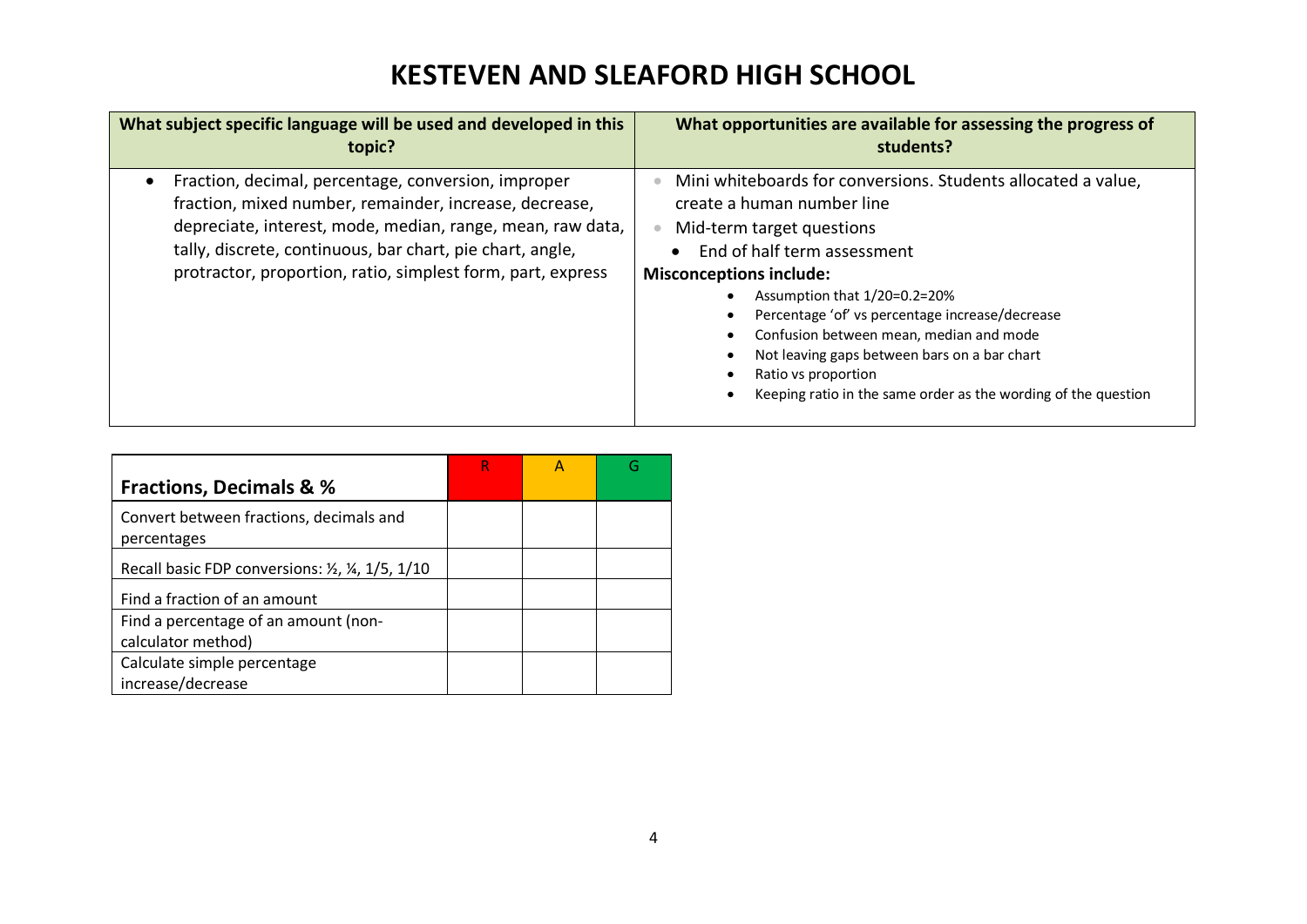| What subject specific language will be used and developed in this                                                                                                                                                                                                                                       | What opportunities are available for assessing the progress of                                                                                                                                                                                                                                                                                                                                                                                                   |
|---------------------------------------------------------------------------------------------------------------------------------------------------------------------------------------------------------------------------------------------------------------------------------------------------------|------------------------------------------------------------------------------------------------------------------------------------------------------------------------------------------------------------------------------------------------------------------------------------------------------------------------------------------------------------------------------------------------------------------------------------------------------------------|
| topic?                                                                                                                                                                                                                                                                                                  | students?                                                                                                                                                                                                                                                                                                                                                                                                                                                        |
| Fraction, decimal, percentage, conversion, improper<br>fraction, mixed number, remainder, increase, decrease,<br>depreciate, interest, mode, median, range, mean, raw data,<br>tally, discrete, continuous, bar chart, pie chart, angle,<br>protractor, proportion, ratio, simplest form, part, express | Mini whiteboards for conversions. Students allocated a value,<br>create a human number line<br>Mid-term target questions<br>End of half term assessment<br><b>Misconceptions include:</b><br>Assumption that 1/20=0.2=20%<br>Percentage 'of' vs percentage increase/decrease<br>Confusion between mean, median and mode<br>Not leaving gaps between bars on a bar chart<br>Ratio vs proportion<br>Keeping ratio in the same order as the wording of the question |

|                                                        |  | G |
|--------------------------------------------------------|--|---|
| <b>Fractions, Decimals &amp; %</b>                     |  |   |
| Convert between fractions, decimals and<br>percentages |  |   |
| Recall basic FDP conversions: 1/2, 1/4, 1/5, 1/10      |  |   |
| Find a fraction of an amount                           |  |   |
| Find a percentage of an amount (non-                   |  |   |
| calculator method)                                     |  |   |
| Calculate simple percentage                            |  |   |
| increase/decrease                                      |  |   |